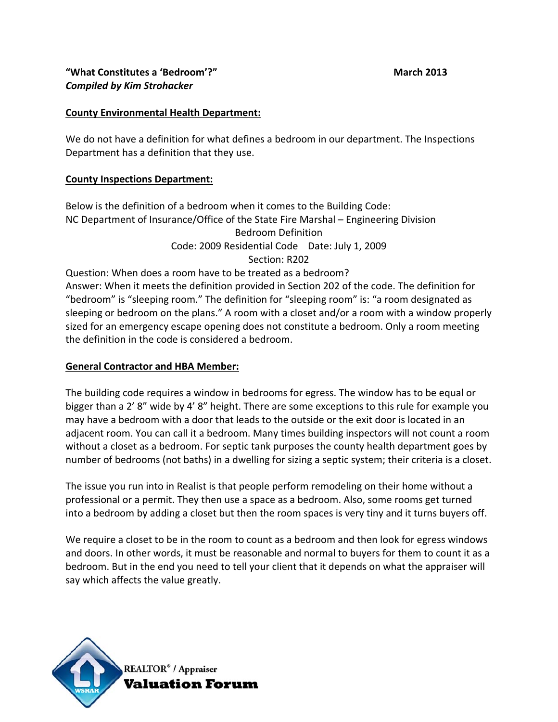## **County Environmental Health Department:**

We do not have a definition for what defines a bedroom in our department. The Inspections Department has a definition that they use.

#### **County Inspections Department:**

Below is the definition of a bedroom when it comes to the Building Code: NC Department of Insurance/Office of the State Fire Marshal – Engineering Division Bedroom Definition Code: 2009 Residential Code Date: July 1, 2009 Section: R202

Question: When does a room have to be treated as a bedroom? Answer: When it meets the definition provided in Section 202 of the code. The definition for "bedroom" is "sleeping room." The definition for "sleeping room" is: "a room designated as sleeping or bedroom on the plans." A room with a closet and/or a room with a window properly sized for an emergency escape opening does not constitute a bedroom. Only a room meeting the definition in the code is considered a bedroom.

#### **General Contractor and HBA Member:**

The building code requires a window in bedrooms for egress. The window has to be equal or bigger than a 2' 8" wide by 4' 8" height. There are some exceptions to this rule for example you may have a bedroom with a door that leads to the outside or the exit door is located in an adjacent room. You can call it a bedroom. Many times building inspectors will not count a room without a closet as a bedroom. For septic tank purposes the county health department goes by number of bedrooms (not baths) in a dwelling for sizing a septic system; their criteria is a closet.

The issue you run into in Realist is that people perform remodeling on their home without a professional or a permit. They then use a space as a bedroom. Also, some rooms get turned into a bedroom by adding a closet but then the room spaces is very tiny and it turns buyers off.

We require a closet to be in the room to count as a bedroom and then look for egress windows and doors. In other words, it must be reasonable and normal to buyers for them to count it as a bedroom. But in the end you need to tell your client that it depends on what the appraiser will say which affects the value greatly.

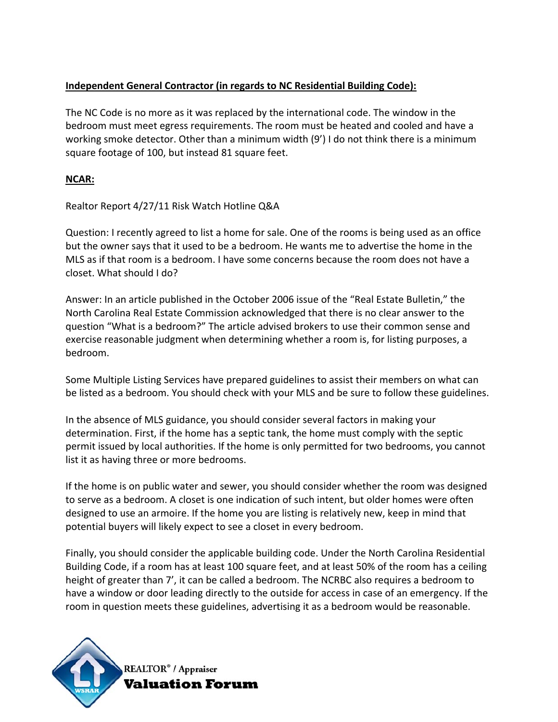# **Independent General Contractor (in regards to NC Residential Building Code):**

The NC Code is no more as it was replaced by the international code. The window in the bedroom must meet egress requirements. The room must be heated and cooled and have a working smoke detector. Other than a minimum width (9') I do not think there is a minimum square footage of 100, but instead 81 square feet.

## **NCAR:**

Realtor Report 4/27/11 Risk Watch Hotline Q&A

Question: I recently agreed to list a home for sale. One of the rooms is being used as an office but the owner says that it used to be a bedroom. He wants me to advertise the home in the MLS as if that room is a bedroom. I have some concerns because the room does not have a closet. What should I do?

Answer: In an article published in the October 2006 issue of the "Real Estate Bulletin," the North Carolina Real Estate Commission acknowledged that there is no clear answer to the question "What is a bedroom?" The article advised brokers to use their common sense and exercise reasonable judgment when determining whether a room is, for listing purposes, a bedroom.

Some Multiple Listing Services have prepared guidelines to assist their members on what can be listed as a bedroom. You should check with your MLS and be sure to follow these guidelines.

In the absence of MLS guidance, you should consider several factors in making your determination. First, if the home has a septic tank, the home must comply with the septic permit issued by local authorities. If the home is only permitted for two bedrooms, you cannot list it as having three or more bedrooms.

If the home is on public water and sewer, you should consider whether the room was designed to serve as a bedroom. A closet is one indication of such intent, but older homes were often designed to use an armoire. If the home you are listing is relatively new, keep in mind that potential buyers will likely expect to see a closet in every bedroom.

Finally, you should consider the applicable building code. Under the North Carolina Residential Building Code, if a room has at least 100 square feet, and at least 50% of the room has a ceiling height of greater than 7', it can be called a bedroom. The NCRBC also requires a bedroom to have a window or door leading directly to the outside for access in case of an emergency. If the room in question meets these guidelines, advertising it as a bedroom would be reasonable.